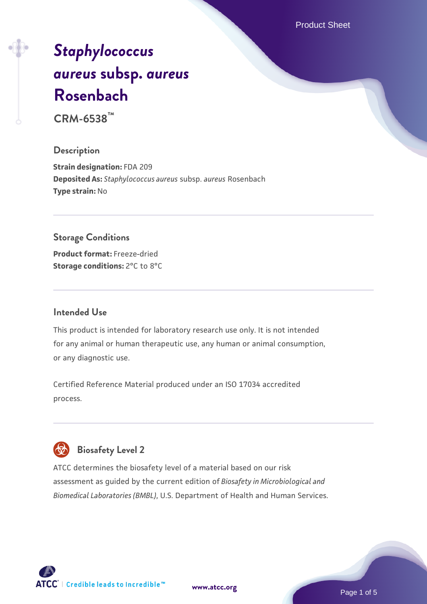Product Sheet

# *[Staphylococcus](https://www.atcc.org/products/crm-6538) [aureus](https://www.atcc.org/products/crm-6538)* **[subsp.](https://www.atcc.org/products/crm-6538)** *[aureus](https://www.atcc.org/products/crm-6538)* **[Rosenbach](https://www.atcc.org/products/crm-6538)**

**CRM-6538™**

# **Description**

**Strain designation:** FDA 209 **Deposited As:** *Staphylococcus aureus* subsp. *aureus* Rosenbach **Type strain:** No

# **Storage Conditions**

**Product format:** Freeze-dried **Storage conditions:** 2°C to 8°C

#### **Intended Use**

This product is intended for laboratory research use only. It is not intended for any animal or human therapeutic use, any human or animal consumption, or any diagnostic use.

Certified Reference Material produced under an ISO 17034 accredited process.

# **Biosafety Level 2**

ATCC determines the biosafety level of a material based on our risk assessment as guided by the current edition of *Biosafety in Microbiological and Biomedical Laboratories (BMBL)*, U.S. Department of Health and Human Services.

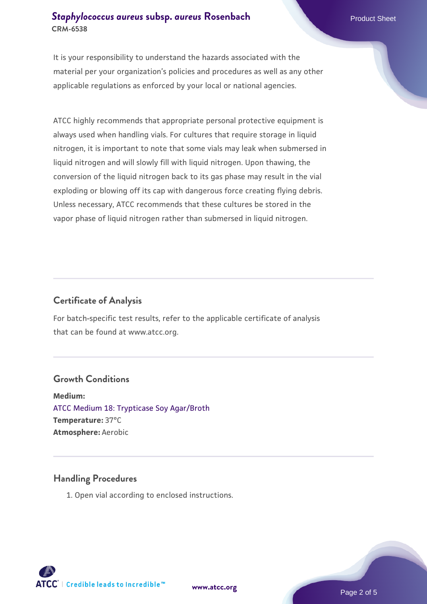## **[Staphylococcus aureus](https://www.atcc.org/products/crm-6538) [subsp.](https://www.atcc.org/products/crm-6538)** *[aureus](https://www.atcc.org/products/crm-6538)* [Rosenbach](https://www.atcc.org/products/crm-6538) Product Sheet **CRM-6538**

It is your responsibility to understand the hazards associated with the material per your organization's policies and procedures as well as any other applicable regulations as enforced by your local or national agencies.

ATCC highly recommends that appropriate personal protective equipment is always used when handling vials. For cultures that require storage in liquid nitrogen, it is important to note that some vials may leak when submersed in liquid nitrogen and will slowly fill with liquid nitrogen. Upon thawing, the conversion of the liquid nitrogen back to its gas phase may result in the vial exploding or blowing off its cap with dangerous force creating flying debris. Unless necessary, ATCC recommends that these cultures be stored in the vapor phase of liquid nitrogen rather than submersed in liquid nitrogen.

# **Certificate of Analysis**

For batch-specific test results, refer to the applicable certificate of analysis that can be found at www.atcc.org.

# **Growth Conditions**

**Medium:**  [ATCC Medium 18: Trypticase Soy Agar/Broth](https://www.atcc.org/-/media/product-assets/documents/microbial-media-formulations/1/8/atcc-medium-18.pdf?rev=832846e1425841f19fc70569848edae7) **Temperature:** 37°C **Atmosphere:** Aerobic

# **Handling Procedures**

1. Open vial according to enclosed instructions.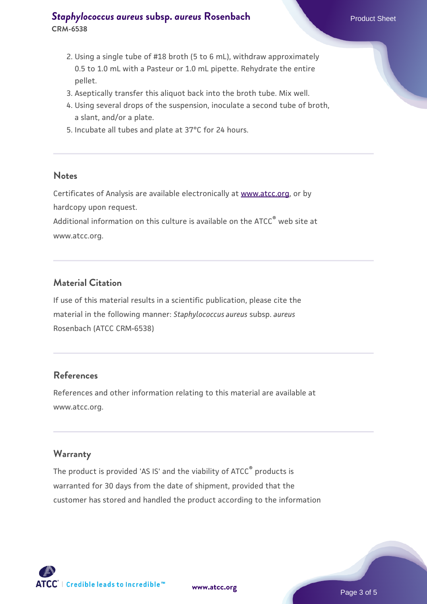# **[Staphylococcus aureus](https://www.atcc.org/products/crm-6538) [subsp.](https://www.atcc.org/products/crm-6538)** *[aureus](https://www.atcc.org/products/crm-6538)* [Rosenbach](https://www.atcc.org/products/crm-6538) Product Sheet **CRM-6538**

- 2. Using a single tube of #18 broth (5 to 6 mL), withdraw approximately 0.5 to 1.0 mL with a Pasteur or 1.0 mL pipette. Rehydrate the entire pellet.
- 3. Aseptically transfer this aliquot back into the broth tube. Mix well.
- 4. Using several drops of the suspension, inoculate a second tube of broth, a slant, and/or a plate.
- 5. Incubate all tubes and plate at 37°C for 24 hours.

#### **Notes**

Certificates of Analysis are available electronically at [www.atcc.org](http://www.atcc.org/), or by hardcopy upon request.

Additional information on this culture is available on the ATCC® web site at www.atcc.org.

# **Material Citation**

If use of this material results in a scientific publication, please cite the material in the following manner: *Staphylococcus aureus* subsp. *aureus* Rosenbach (ATCC CRM-6538)

#### **References**

References and other information relating to this material are available at www.atcc.org.

#### **Warranty**

The product is provided 'AS IS' and the viability of ATCC® products is warranted for 30 days from the date of shipment, provided that the customer has stored and handled the product according to the information

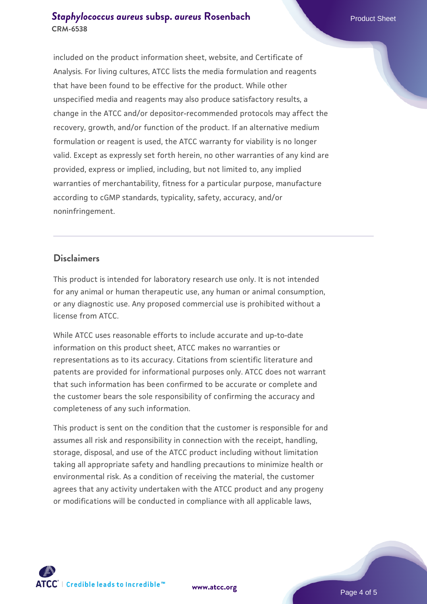## **[Staphylococcus aureus](https://www.atcc.org/products/crm-6538) [subsp.](https://www.atcc.org/products/crm-6538)** *[aureus](https://www.atcc.org/products/crm-6538)* [Rosenbach](https://www.atcc.org/products/crm-6538) Product Sheet **CRM-6538**

included on the product information sheet, website, and Certificate of Analysis. For living cultures, ATCC lists the media formulation and reagents that have been found to be effective for the product. While other unspecified media and reagents may also produce satisfactory results, a change in the ATCC and/or depositor-recommended protocols may affect the recovery, growth, and/or function of the product. If an alternative medium formulation or reagent is used, the ATCC warranty for viability is no longer valid. Except as expressly set forth herein, no other warranties of any kind are provided, express or implied, including, but not limited to, any implied warranties of merchantability, fitness for a particular purpose, manufacture according to cGMP standards, typicality, safety, accuracy, and/or noninfringement.

#### **Disclaimers**

This product is intended for laboratory research use only. It is not intended for any animal or human therapeutic use, any human or animal consumption, or any diagnostic use. Any proposed commercial use is prohibited without a license from ATCC.

While ATCC uses reasonable efforts to include accurate and up-to-date information on this product sheet, ATCC makes no warranties or representations as to its accuracy. Citations from scientific literature and patents are provided for informational purposes only. ATCC does not warrant that such information has been confirmed to be accurate or complete and the customer bears the sole responsibility of confirming the accuracy and completeness of any such information.

This product is sent on the condition that the customer is responsible for and assumes all risk and responsibility in connection with the receipt, handling, storage, disposal, and use of the ATCC product including without limitation taking all appropriate safety and handling precautions to minimize health or environmental risk. As a condition of receiving the material, the customer agrees that any activity undertaken with the ATCC product and any progeny or modifications will be conducted in compliance with all applicable laws,



**[www.atcc.org](http://www.atcc.org)**

Page 4 of 5